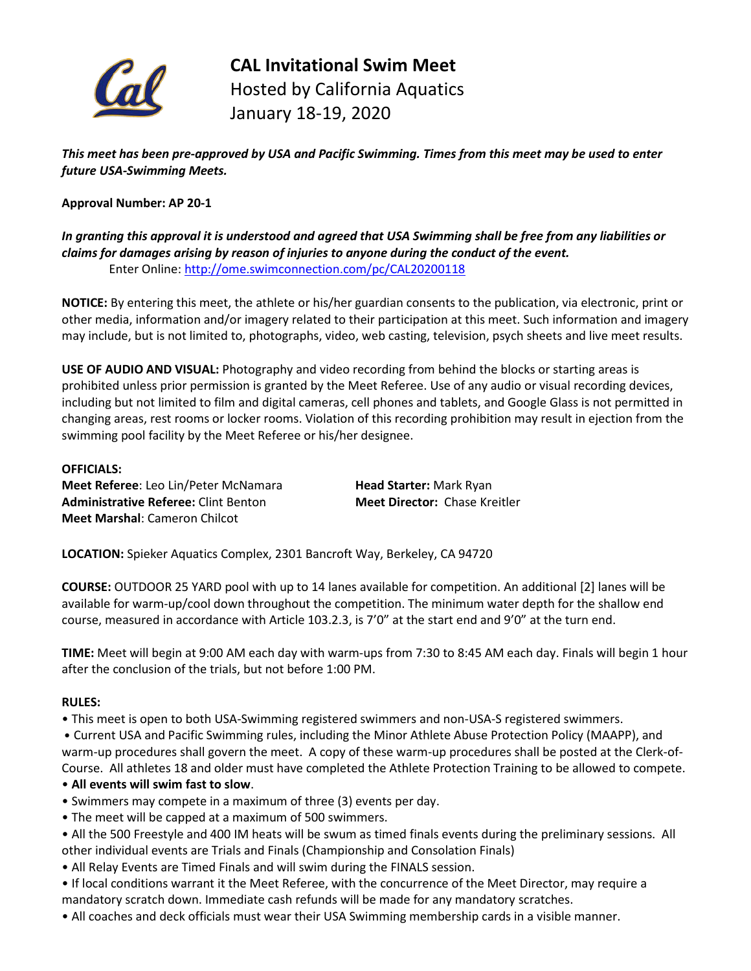

**CAL Invitational Swim Meet** Hosted by California Aquatics January 18-19, 2020

*This meet has been pre-approved by USA and Pacific Swimming. Times from this meet may be used to enter future USA-Swimming Meets.* 

## **Approval Number: AP 20-1**

## *In granting this approval it is understood and agreed that USA Swimming shall be free from any liabilities or claims for damages arising by reason of injuries to anyone during the conduct of the event.* Enter Online: [http://ome.swimconnection.com/pc/CAL20200118](http://ome.swimconnection.com/pc/CAL20150117)

**NOTICE:** By entering this meet, the athlete or his/her guardian consents to the publication, via electronic, print or other media, information and/or imagery related to their participation at this meet. Such information and imagery may include, but is not limited to, photographs, video, web casting, television, psych sheets and live meet results.

**USE OF AUDIO AND VISUAL:** Photography and video recording from behind the blocks or starting areas is prohibited unless prior permission is granted by the Meet Referee. Use of any audio or visual recording devices, including but not limited to film and digital cameras, cell phones and tablets, and Google Glass is not permitted in changing areas, rest rooms or locker rooms. Violation of this recording prohibition may result in ejection from the swimming pool facility by the Meet Referee or his/her designee.

## **OFFICIALS:**

**Meet Referee**: Leo Lin/Peter McNamara **Head Starter:** Mark Ryan **Administrative Referee:** Clint Benton **Meet Director:** Chase Kreitler **Meet Marshal**: Cameron Chilcot

**LOCATION:** Spieker Aquatics Complex, 2301 Bancroft Way, Berkeley, CA 94720

**COURSE:** OUTDOOR 25 YARD pool with up to 14 lanes available for competition. An additional [2] lanes will be available for warm-up/cool down throughout the competition. The minimum water depth for the shallow end course, measured in accordance with Article 103.2.3, is 7'0" at the start end and 9'0" at the turn end.

**TIME:** Meet will begin at 9:00 AM each day with warm-ups from 7:30 to 8:45 AM each day. Finals will begin 1 hour after the conclusion of the trials, but not before 1:00 PM.

## **RULES:**

• This meet is open to both USA-Swimming registered swimmers and non-USA-S registered swimmers.

• Current USA and Pacific Swimming rules, including the Minor Athlete Abuse Protection Policy (MAAPP), and warm-up procedures shall govern the meet. A copy of these warm-up procedures shall be posted at the Clerk-of-Course. All athletes 18 and older must have completed the Athlete Protection Training to be allowed to compete.

## • **All events will swim fast to slow**.

- Swimmers may compete in a maximum of three (3) events per day.
- The meet will be capped at a maximum of 500 swimmers.
- All the 500 Freestyle and 400 IM heats will be swum as timed finals events during the preliminary sessions. All other individual events are Trials and Finals (Championship and Consolation Finals)
- All Relay Events are Timed Finals and will swim during the FINALS session.
- If local conditions warrant it the Meet Referee, with the concurrence of the Meet Director, may require a mandatory scratch down. Immediate cash refunds will be made for any mandatory scratches.
- All coaches and deck officials must wear their USA Swimming membership cards in a visible manner.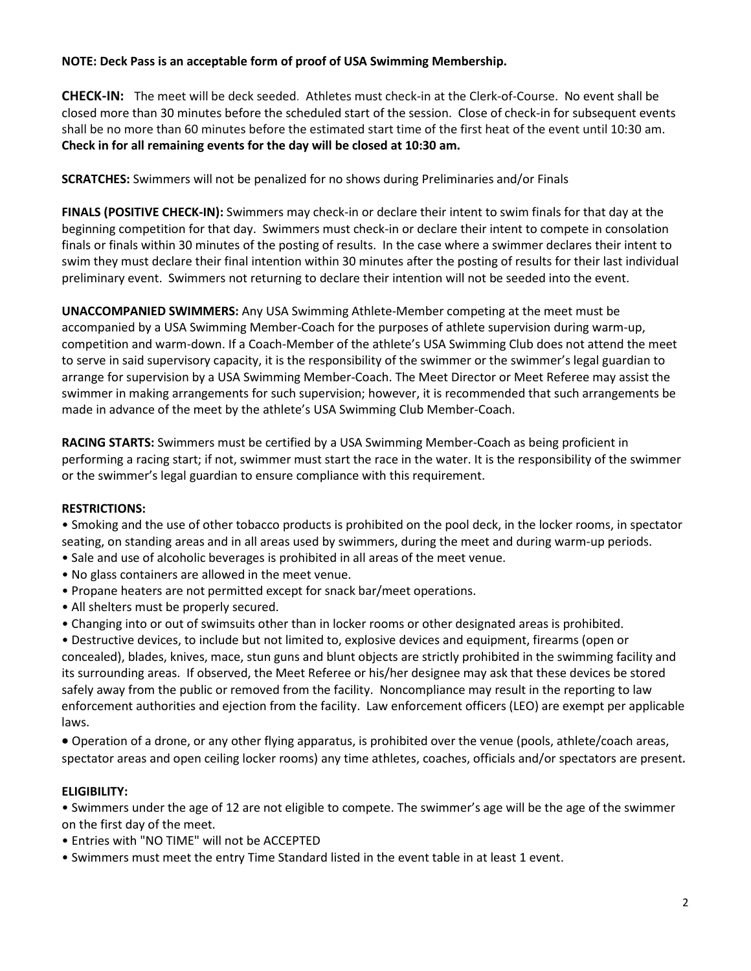## **NOTE: Deck Pass is an acceptable form of proof of USA Swimming Membership.**

**CHECK-IN:** The meet will be deck seeded. Athletes must check-in at the Clerk-of-Course. No event shall be closed more than 30 minutes before the scheduled start of the session. Close of check-in for subsequent events shall be no more than 60 minutes before the estimated start time of the first heat of the event until 10:30 am. **Check in for all remaining events for the day will be closed at 10:30 am.**

**SCRATCHES:** Swimmers will not be penalized for no shows during Preliminaries and/or Finals

**FINALS (POSITIVE CHECK-IN):** Swimmers may check-in or declare their intent to swim finals for that day at the beginning competition for that day. Swimmers must check-in or declare their intent to compete in consolation finals or finals within 30 minutes of the posting of results. In the case where a swimmer declares their intent to swim they must declare their final intention within 30 minutes after the posting of results for their last individual preliminary event. Swimmers not returning to declare their intention will not be seeded into the event.

**UNACCOMPANIED SWIMMERS:** Any USA Swimming Athlete-Member competing at the meet must be accompanied by a USA Swimming Member-Coach for the purposes of athlete supervision during warm-up, competition and warm-down. If a Coach-Member of the athlete's USA Swimming Club does not attend the meet to serve in said supervisory capacity, it is the responsibility of the swimmer or the swimmer's legal guardian to arrange for supervision by a USA Swimming Member-Coach. The Meet Director or Meet Referee may assist the swimmer in making arrangements for such supervision; however, it is recommended that such arrangements be made in advance of the meet by the athlete's USA Swimming Club Member-Coach.

**RACING STARTS:** Swimmers must be certified by a USA Swimming Member-Coach as being proficient in performing a racing start; if not, swimmer must start the race in the water. It is the responsibility of the swimmer or the swimmer's legal guardian to ensure compliance with this requirement.

## **RESTRICTIONS:**

• Smoking and the use of other tobacco products is prohibited on the pool deck, in the locker rooms, in spectator seating, on standing areas and in all areas used by swimmers, during the meet and during warm-up periods.

- Sale and use of alcoholic beverages is prohibited in all areas of the meet venue.
- No glass containers are allowed in the meet venue.
- Propane heaters are not permitted except for snack bar/meet operations.
- All shelters must be properly secured.
- Changing into or out of swimsuits other than in locker rooms or other designated areas is prohibited.

• Destructive devices, to include but not limited to, explosive devices and equipment, firearms (open or concealed), blades, knives, mace, stun guns and blunt objects are strictly prohibited in the swimming facility and its surrounding areas. If observed, the Meet Referee or his/her designee may ask that these devices be stored safely away from the public or removed from the facility. Noncompliance may result in the reporting to law enforcement authorities and ejection from the facility. Law enforcement officers (LEO) are exempt per applicable laws.

• Operation of a drone, or any other flying apparatus, is prohibited over the venue (pools, athlete/coach areas, spectator areas and open ceiling locker rooms) any time athletes, coaches, officials and/or spectators are present.

## **ELIGIBILITY:**

• Swimmers under the age of 12 are not eligible to compete. The swimmer's age will be the age of the swimmer on the first day of the meet.

- Entries with "NO TIME" will not be ACCEPTED
- Swimmers must meet the entry Time Standard listed in the event table in at least 1 event.